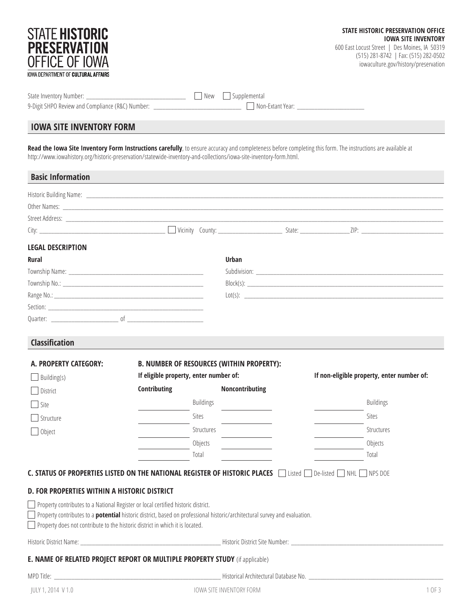| STATE <b>Historic</b><br><b>PRESERVATION</b><br><b>OFFICE OF IOWA</b><br><b>IOWA DEPARTMENT OF CULTURAL AFFAIRS</b>                                                                                                                                                                                            |              |                                                  | STATE HISTORIC PRESERVATION OFFICE<br><b>IOWA SITE INVENTORY</b><br>600 East Locust Street   Des Moines, IA 50319<br>(515) 281-8742   Fax: (515) 282-0502<br>iowaculture.gov/history/preservation |
|----------------------------------------------------------------------------------------------------------------------------------------------------------------------------------------------------------------------------------------------------------------------------------------------------------------|--------------|--------------------------------------------------|---------------------------------------------------------------------------------------------------------------------------------------------------------------------------------------------------|
| 9-Digit SHPO Review and Compliance (R&C) Number: _______________________________ □ Non-Extant Year: _________________                                                                                                                                                                                          |              |                                                  |                                                                                                                                                                                                   |
| <b>IOWA SITE INVENTORY FORM</b>                                                                                                                                                                                                                                                                                |              |                                                  |                                                                                                                                                                                                   |
| Read the lowa Site Inventory Form Instructions carefully, to ensure accuracy and completeness before completing this form. The instructions are available at<br>http://www.iowahistory.org/historic-preservation/statewide-inventory-and-collections/iowa-site-inventory-form.html.                            |              |                                                  |                                                                                                                                                                                                   |
| <b>Basic Information</b>                                                                                                                                                                                                                                                                                       |              |                                                  |                                                                                                                                                                                                   |
|                                                                                                                                                                                                                                                                                                                |              |                                                  |                                                                                                                                                                                                   |
| <b>LEGAL DESCRIPTION</b>                                                                                                                                                                                                                                                                                       |              |                                                  |                                                                                                                                                                                                   |
| Rural                                                                                                                                                                                                                                                                                                          |              | <b>Urban</b>                                     |                                                                                                                                                                                                   |
|                                                                                                                                                                                                                                                                                                                |              |                                                  |                                                                                                                                                                                                   |
|                                                                                                                                                                                                                                                                                                                |              |                                                  |                                                                                                                                                                                                   |
|                                                                                                                                                                                                                                                                                                                |              |                                                  |                                                                                                                                                                                                   |
|                                                                                                                                                                                                                                                                                                                |              |                                                  |                                                                                                                                                                                                   |
|                                                                                                                                                                                                                                                                                                                |              |                                                  |                                                                                                                                                                                                   |
| <b>Classification</b>                                                                                                                                                                                                                                                                                          |              |                                                  |                                                                                                                                                                                                   |
| A. PROPERTY CATEGORY:                                                                                                                                                                                                                                                                                          |              | <b>B. NUMBER OF RESOURCES (WITHIN PROPERTY):</b> |                                                                                                                                                                                                   |
| Building(s)                                                                                                                                                                                                                                                                                                    |              | If eligible property, enter number of:           | If non-eligible property, enter number of:                                                                                                                                                        |
| District                                                                                                                                                                                                                                                                                                       | Contributing | Noncontributing                                  |                                                                                                                                                                                                   |
| Site                                                                                                                                                                                                                                                                                                           |              | <b>Buildings</b>                                 | <b>Buildings</b>                                                                                                                                                                                  |
| Structure                                                                                                                                                                                                                                                                                                      |              | Sites                                            | <b>Sites</b>                                                                                                                                                                                      |
| Object                                                                                                                                                                                                                                                                                                         |              | Structures                                       | Structures                                                                                                                                                                                        |
|                                                                                                                                                                                                                                                                                                                |              | Objects                                          | Objects                                                                                                                                                                                           |
|                                                                                                                                                                                                                                                                                                                |              | Total                                            | Total                                                                                                                                                                                             |
| C. STATUS OF PROPERTIES LISTED ON THE NATIONAL REGISTER OF HISTORIC PLACES In the pe-listed In NHL In PS DOE                                                                                                                                                                                                   |              |                                                  |                                                                                                                                                                                                   |
| D. FOR PROPERTIES WITHIN A HISTORIC DISTRICT                                                                                                                                                                                                                                                                   |              |                                                  |                                                                                                                                                                                                   |
| Property contributes to a National Register or local certified historic district.<br>Property contributes to a <b>potential</b> historic district, based on professional historic/architectural survey and evaluation.<br>$\Box$ Property does not contribute to the historic district in which it is located. |              |                                                  |                                                                                                                                                                                                   |
|                                                                                                                                                                                                                                                                                                                |              |                                                  |                                                                                                                                                                                                   |
| E. NAME OF RELATED PROJECT REPORT OR MULTIPLE PROPERTY STUDY (if applicable)                                                                                                                                                                                                                                   |              |                                                  |                                                                                                                                                                                                   |
|                                                                                                                                                                                                                                                                                                                |              |                                                  |                                                                                                                                                                                                   |
| JULY 1, 2014 V 1.0                                                                                                                                                                                                                                                                                             |              | IOWA SITE INVENTORY FORM                         | 1 OF 3                                                                                                                                                                                            |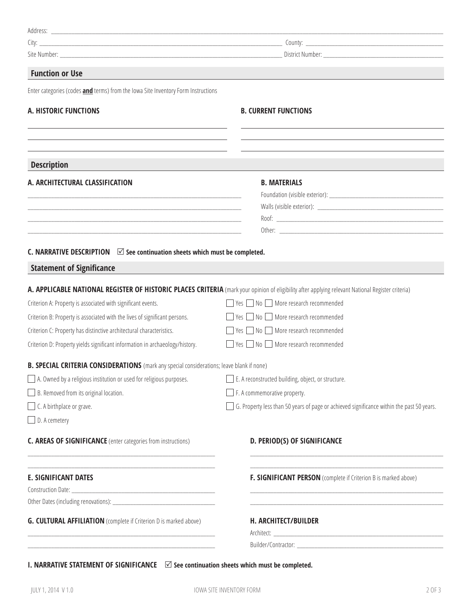| <b>Function or Use</b>                                                                                                                                                                       |                                                                                                                                                   |  |
|----------------------------------------------------------------------------------------------------------------------------------------------------------------------------------------------|---------------------------------------------------------------------------------------------------------------------------------------------------|--|
| Enter categories (codes and terms) from the lowa Site Inventory Form Instructions                                                                                                            |                                                                                                                                                   |  |
| A. HISTORIC FUNCTIONS                                                                                                                                                                        | <b>B. CURRENT FUNCTIONS</b>                                                                                                                       |  |
|                                                                                                                                                                                              |                                                                                                                                                   |  |
| <b>Description</b>                                                                                                                                                                           |                                                                                                                                                   |  |
| A. ARCHITECTURAL CLASSIFICATION                                                                                                                                                              | <b>B. MATERIALS</b>                                                                                                                               |  |
|                                                                                                                                                                                              |                                                                                                                                                   |  |
| <u> 1989 - Johann Barbara, martin amerikan basar dan berasal dalam basa dalam basa dalam basa dalam basa dalam ba</u>                                                                        |                                                                                                                                                   |  |
| <u> 1980 - Johann Barbara, martxa alemaniar argumento de la contrada de la contrada de la contrada de la contrad</u>                                                                         |                                                                                                                                                   |  |
|                                                                                                                                                                                              |                                                                                                                                                   |  |
| C. NARRATIVE DESCRIPTION $\Box$ See continuation sheets which must be completed.                                                                                                             |                                                                                                                                                   |  |
| <b>Statement of Significance</b>                                                                                                                                                             |                                                                                                                                                   |  |
|                                                                                                                                                                                              | A. APPLICABLE NATIONAL REGISTER OF HISTORIC PLACES CRITERIA (mark your opinion of eligibility after applying relevant National Register criteria) |  |
| Criterion A: Property is associated with significant events.                                                                                                                                 | $\Box$ Yes $\Box$ No $\Box$ More research recommended                                                                                             |  |
| Criterion B: Property is associated with the lives of significant persons.                                                                                                                   | $\Box$ Yes $\Box$ No $\Box$ More research recommended                                                                                             |  |
| Criterion C: Property has distinctive architectural characteristics.                                                                                                                         | $\Box$ Yes $\Box$ No $\Box$ More research recommended                                                                                             |  |
| Criterion D: Property yields significant information in archaeology/history.                                                                                                                 | $\Box$ Yes $\Box$ No $\Box$ More research recommended                                                                                             |  |
| <b>B. SPECIAL CRITERIA CONSIDERATIONS</b> (mark any special considerations; leave blank if none)                                                                                             |                                                                                                                                                   |  |
| A. Owned by a religious institution or used for religious purposes.                                                                                                                          | E. A reconstructed building, object, or structure.                                                                                                |  |
| $\Box$ B. Removed from its original location.                                                                                                                                                | $\Box$ F. A commemorative property.                                                                                                               |  |
| $\Box$ C. A birthplace or grave.                                                                                                                                                             | G. Property less than 50 years of page or achieved significance within the past 50 years.                                                         |  |
| $\Box$ D. A cemetery                                                                                                                                                                         |                                                                                                                                                   |  |
| <b>C. AREAS OF SIGNIFICANCE</b> (enter categories from instructions)<br><u> 1980 - Johann Barbara, martxa alemaniar argumento este alemaniar alemaniar este alemaniar este alemaniar est</u> | D. PERIOD(S) OF SIGNIFICANCE                                                                                                                      |  |
| <b>E. SIGNIFICANT DATES</b>                                                                                                                                                                  | F. SIGNIFICANT PERSON (complete if Criterion B is marked above)                                                                                   |  |
|                                                                                                                                                                                              |                                                                                                                                                   |  |
|                                                                                                                                                                                              |                                                                                                                                                   |  |
| <b>G. CULTURAL AFFILIATION</b> (complete if Criterion D is marked above)                                                                                                                     | H. ARCHITECT/BUILDER                                                                                                                              |  |
| <u> 1989 - Johann John Harry, mars ar yw i ganwys y cyfeiriad y ganwys y cyfeiriad y ganwys y cyfeiriad y ganwys</u>                                                                         |                                                                                                                                                   |  |
|                                                                                                                                                                                              |                                                                                                                                                   |  |

**I. NARRATIVE STATEMENT OF SIGNIFICANCE**  $□$  See continuation sheets which must be completed.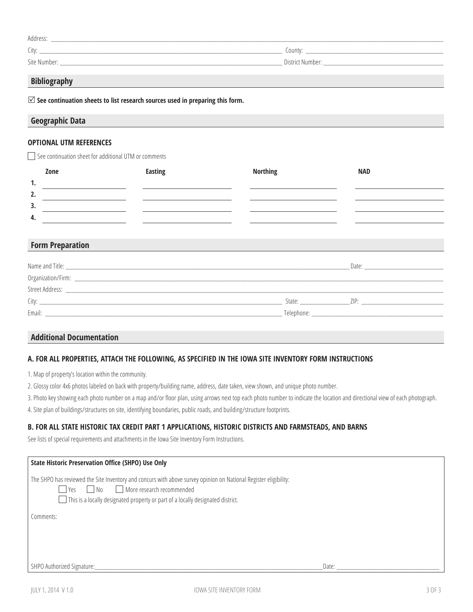| <b>Address</b> |                  |
|----------------|------------------|
| City:          | County:          |
| Site Number:   | District Number: |

# **Bibliography**

R **See continuation sheets to list research sources used in preparing this form.** 

## **Geographic Data**

#### **OPTIONAL UTM REFERENCES**

See continuation sheet for additional UTM or comments

|     | Zone | <b>Easting</b> | <b>Northing</b> | <b>NAD</b> |
|-----|------|----------------|-----------------|------------|
| ٠.  |      |                |                 |            |
| 2.  |      |                |                 |            |
| 3.  |      |                |                 |            |
| -4. |      |                |                 |            |

#### **Form Preparation**

| Name and Title: |            | Date: |
|-----------------|------------|-------|
|                 |            |       |
| Street Address: |            |       |
| City:           | State:     | 7IP·  |
| Email:          | Telephone: |       |

## **Additional Documentation**

#### **A. FOR ALL PROPERTIES, ATTACH THE FOLLOWING, AS SPECIFIED IN THE IOWA SITE INVENTORY FORM INSTRUCTIONS**

1. Map of property's location within the community.

2. Glossy color 4x6 photos labeled on back with property/building name, address, date taken, view shown, and unique photo number.

3. Photo key showing each photo number on a map and/or floor plan, using arrows next top each photo number to indicate the location and directional view of each photograph.

4. Site plan of buildings/structures on site, identifying boundaries, public roads, and building/structure footprints.

#### **B. FOR ALL STATE HISTORIC TAX CREDIT PART 1 APPLICATIONS, HISTORIC DISTRICTS AND FARMSTEADS, AND BARNS**

See lists of special requirements and attachments in the Iowa Site Inventory Form Instructions.

| <b>State Historic Preservation Office (SHPO) Use Only</b>                                                                                                                                                                                                            |       |
|----------------------------------------------------------------------------------------------------------------------------------------------------------------------------------------------------------------------------------------------------------------------|-------|
| The SHPO has reviewed the Site Inventory and concurs with above survey opinion on National Register eligibility:<br>More research recommended<br>N <sub>0</sub><br>    γρς<br>$\Box$ This is a locally designated property or part of a locally designated district. |       |
| Comments:                                                                                                                                                                                                                                                            |       |
| SHPO Authorized Signature:                                                                                                                                                                                                                                           | Date: |